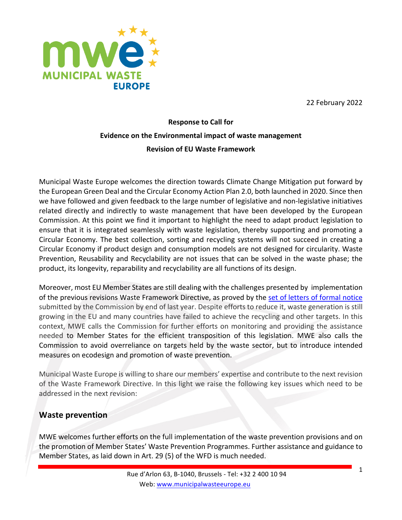22 February 2022



# **Response to Call for Evidence on the Environmental impact of waste management Revision of EU Waste Framework**

Municipal Waste Europe welcomes the direction towards Climate Change Mitigation put forward by the European Green Deal and the Circular Economy Action Plan 2.0, both launched in 2020. Since then we have followed and given feedback to the large number of legislative and non-legislative initiatives related directly and indirectly to waste management that have been developed by the European Commission. At this point we find it important to highlight the need to adapt product legislation to ensure that it is integrated seamlessly with waste legislation, thereby supporting and promoting a Circular Economy. The best collection, sorting and recycling systems will not succeed in creating a Circular Economy if product design and consumption models are not designed for circularity. Waste Prevention, Reusability and Recyclability are not issues that can be solved in the waste phase; the product, its longevity, reparability and recyclability are all functions of its design.

Moreover, most EU Member States are still dealing with the challenges presented by implementation of the previous revisions Waste Framework Directive, as proved by the set of letters of formal notice submitted by the Commission by end of last year. Despite efforts to reduce it, waste generation is still growing in the EU and many countries have failed to achieve the recycling and other targets. In this context, MWE calls the Commission for further efforts on monitoring and providing the assistance needed to Member States for the efficient transposition of this legislation. MWE also calls the Commission to avoid overreliance on targets held by the waste sector, but to introduce intended measures on ecodesign and promotion of waste prevention.

Municipal Waste Europe is willing to share our members' expertise and contribute to the next revision of the Waste Framework Directive. In this light we raise the following key issues which need to be addressed in the next revision:

## **Waste prevention**

MWE welcomes further efforts on the full implementation of the waste prevention provisions and on the promotion of Member States' Waste Prevention Programmes. Further assistance and guidance to Member States, as laid down in Art. 29 (5) of the WFD is much needed.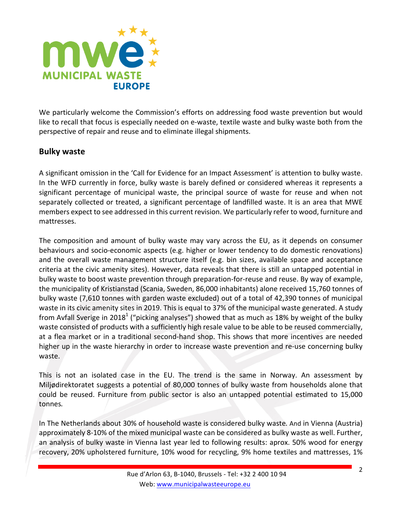

We particularly welcome the Commission's efforts on addressing food waste prevention but would like to recall that focus is especially needed on e-waste, textile waste and bulky waste both from the perspective of repair and reuse and to eliminate illegal shipments.

### **Bulky waste**

A significant omission in the 'Call for Evidence for an Impact Assessment' is attention to bulky waste. In the WFD currently in force, bulky waste is barely defined or considered whereas it represents a significant percentage of municipal waste, the principal source of waste for reuse and when not separately collected or treated, a significant percentage of landfilled waste. It is an area that MWE members expect to see addressed in this current revision. We particularly refer to wood, furniture and mattresses.

The composition and amount of bulky waste may vary across the EU, as it depends on consumer behaviours and socio-economic aspects (e.g. higher or lower tendency to do domestic renovations) and the overall waste management structure itself (e.g. bin sizes, available space and acceptance criteria at the civic amenity sites). However, data reveals that there is still an untapped potential in bulky waste to boost waste prevention through preparation-for-reuse and reuse. By way of example, the municipality of Kristianstad (Scania, Sweden, 86,000 inhabitants) alone received 15,760 tonnes of bulky waste (7,610 tonnes with garden waste excluded) out of a total of 42,390 tonnes of municipal waste in its civic amenity sites in 2019. This is equal to 37% of the municipal waste generated. A study from Avfall Sverige in 2018<sup>1</sup> ("picking analyses") showed that as much as 18% by weight of the bulky waste consisted of products with a sufficiently high resale value to be able to be reused commercially, at a flea market or in a traditional second-hand shop. This shows that more incentives are needed higher up in the waste hierarchy in order to increase waste prevention and re-use concerning bulky waste.

This is not an isolated case in the EU. The trend is the same in Norway. An assessment by Miljødirektoratet suggests a potential of 80,000 tonnes of bulky waste from households alone that could be reused. Furniture from public sector is also an untapped potential estimated to 15,000 tonnes*.*

In The Netherlands about 30% of household waste is considered bulky waste. And in Vienna (Austria) approximately 8-10% of the mixed municipal waste can be considered as bulky waste as well. Further, an analysis of bulky waste in Vienna last year led to following results: aprox. 50% wood for energy recovery, 20% upholstered furniture, 10% wood for recycling, 9% home textiles and mattresses, 1%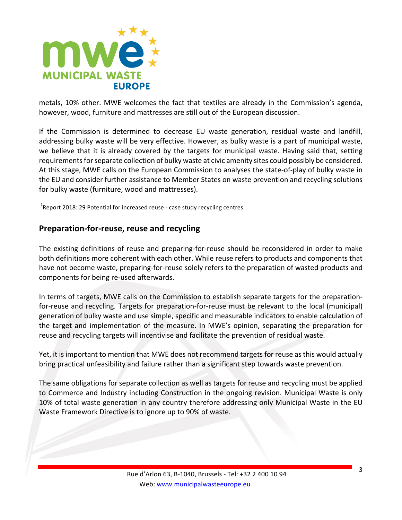

metals, 10% other. MWE welcomes the fact that textiles are already in the Commission's agenda, however, wood, furniture and mattresses are still out of the European discussion.

If the Commission is determined to decrease EU waste generation, residual waste and landfill, addressing bulky waste will be very effective. However, as bulky waste is a part of municipal waste, we believe that it is already covered by the targets for municipal waste. Having said that, setting requirements for separate collection of bulky waste at civic amenity sites could possibly be considered. At this stage, MWE calls on the European Commission to analyses the state-of-play of bulky waste in the EU and consider further assistance to Member States on waste prevention and recycling solutions for bulky waste (furniture, wood and mattresses).

 $^{1}$ Report 2018: 29 Potential for increased reuse - case study recycling centres.

#### **Preparation-for-reuse, reuse and recycling**

The existing definitions of reuse and preparing-for-reuse should be reconsidered in order to make both definitions more coherent with each other. While reuse refers to products and components that have not become waste, preparing-for-reuse solely refers to the preparation of wasted products and components for being re-used afterwards.

In terms of targets, MWE calls on the Commission to establish separate targets for the preparationfor-reuse and recycling. Targets for preparation-for-reuse must be relevant to the local (municipal) generation of bulky waste and use simple, specific and measurable indicators to enable calculation of the target and implementation of the measure. In MWE's opinion, separating the preparation for reuse and recycling targets will incentivise and facilitate the prevention of residual waste.

Yet, it is important to mention that MWE does not recommend targets for reuse as this would actually bring practical unfeasibility and failure rather than a significant step towards waste prevention.

The same obligations for separate collection as well as targets for reuse and recycling must be applied to Commerce and Industry including Construction in the ongoing revision. Municipal Waste is only 10% of total waste generation in any country therefore addressing only Municipal Waste in the EU Waste Framework Directive is to ignore up to 90% of waste.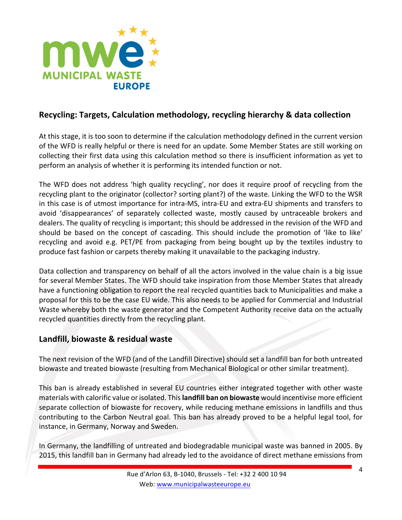

## **Recycling: Targets, Calculation methodology, recycling hierarchy & data collection**

At this stage, it is too soon to determine if the calculation methodology defined in the current version of the WFD is really helpful or there is need for an update. Some Member States are still working on collecting their first data using this calculation method so there is insufficient information as yet to perform an analysis of whether it is performing its intended function or not.

The WFD does not address 'high quality recycling', nor does it require proof of recycling from the recycling plant to the originator (collector? sorting plant?) of the waste. Linking the WFD to the WSR in this case is of utmost importance for intra-MS, intra-EU and extra-EU shipments and transfers to avoid 'disappearances' of separately collected waste, mostly caused by untraceable brokers and dealers. The quality of recycling is important; this should be addressed in the revision of the WFD and should be based on the concept of cascading. This should include the promotion of 'like to like' recycling and avoid e.g. PET/PE from packaging from being bought up by the textiles industry to produce fast fashion or carpets thereby making it unavailable to the packaging industry.

Data collection and transparency on behalf of all the actors involved in the value chain is a big issue for several Member States. The WFD should take inspiration from those Member States that already have a functioning obligation to report the real recycled quantities back to Municipalities and make a proposal for this to be the case EU wide. This also needs to be applied for Commercial and Industrial Waste whereby both the waste generator and the Competent Authority receive data on the actually recycled quantities directly from the recycling plant.

#### **Landfill, biowaste & residual waste**

The next revision of the WFD (and of the Landfill Directive) should set a landfill ban for both untreated biowaste and treated biowaste (resulting from Mechanical Biological or other similar treatment).

This ban is already established in several EU countries either integrated together with other waste materials with calorific value or isolated. This **landfill ban on biowaste** would incentivise more efficient separate collection of biowaste for recovery, while reducing methane emissions in landfills and thus contributing to the Carbon Neutral goal. This ban has already proved to be a helpful legal tool, for instance, in Germany, Norway and Sweden.

In Germany, the landfilling of untreated and biodegradable municipal waste was banned in 2005. By 2015, this landfill ban in Germany had already led to the avoidance of direct methane emissions from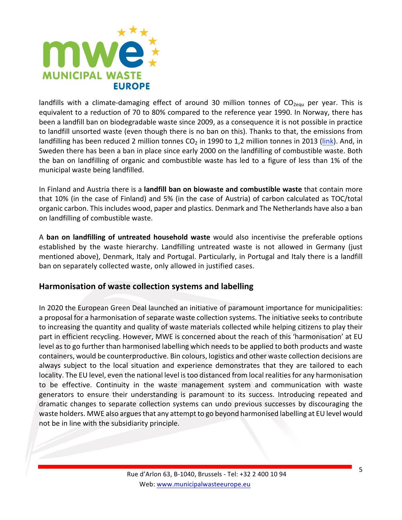

landfills with a climate-damaging effect of around 30 million tonnes of  $CO_{2equ}$  per year. This is equivalent to a reduction of 70 to 80% compared to the reference year 1990. In Norway, there has been a landfill ban on biodegradable waste since 2009, as a consequence it is not possible in practice to landfill unsorted waste (even though there is no ban on this). Thanks to that, the emissions from landfilling has been reduced 2 million tonnes  $CO<sub>2</sub>$  in 1990 to 1,2 million tonnes in 2013 (link). And, in Sweden there has been a ban in place since early 2000 on the landfilling of combustible waste. Both the ban on landfilling of organic and combustible waste has led to a figure of less than 1% of the municipal waste being landfilled.

In Finland and Austria there is a **landfill ban on biowaste and combustible waste** that contain more that 10% (in the case of Finland) and 5% (in the case of Austria) of carbon calculated as TOC/total organic carbon. This includes wood, paper and plastics. Denmark and The Netherlands have also a ban on landfilling of combustible waste.

A **ban on landfilling of untreated household waste** would also incentivise the preferable options established by the waste hierarchy. Landfilling untreated waste is not allowed in Germany (just mentioned above), Denmark, Italy and Portugal. Particularly, in Portugal and Italy there is a landfill ban on separately collected waste, only allowed in justified cases.

#### **Harmonisation of waste collection systems and labelling**

In 2020 the European Green Deal launched an initiative of paramount importance for municipalities: a proposal for a harmonisation of separate waste collection systems. The initiative seeks to contribute to increasing the quantity and quality of waste materials collected while helping citizens to play their part in efficient recycling. However, MWE is concerned about the reach of this 'harmonisation' at EU level as to go further than harmonised labelling which needs to be applied to both products and waste containers, would be counterproductive. Bin colours, logistics and other waste collection decisions are always subject to the local situation and experience demonstrates that they are tailored to each locality. The EU level, even the national level is too distanced from local realities for any harmonisation to be effective. Continuity in the waste management system and communication with waste generators to ensure their understanding is paramount to its success. Introducing repeated and dramatic changes to separate collection systems can undo previous successes by discouraging the waste holders. MWE also argues that any attempt to go beyond harmonised labelling at EU level would not be in line with the subsidiarity principle.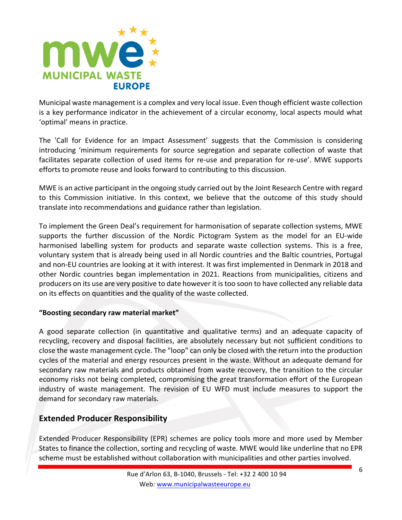

Municipal waste management is a complex and very local issue. Even though efficient waste collection is a key performance indicator in the achievement of a circular economy, local aspects mould what 'optimal' means in practice.

The 'Call for Evidence for an Impact Assessment' suggests that the Commission is considering introducing 'minimum requirements for source segregation and separate collection of waste that facilitates separate collection of used items for re-use and preparation for re-use'. MWE supports efforts to promote reuse and looks forward to contributing to this discussion.

MWE is an active participant in the ongoing study carried out by the Joint Research Centre with regard to this Commission initiative. In this context, we believe that the outcome of this study should translate into recommendations and guidance rather than legislation.

To implement the Green Deal's requirement for harmonisation of separate collection systems, MWE supports the further discussion of the Nordic Pictogram System as the model for an EU-wide harmonised labelling system for products and separate waste collection systems. This is a free, voluntary system that is already being used in all Nordic countries and the Baltic countries, Portugal and non-EU countries are looking at it with interest. It was first implemented in Denmark in 2018 and other Nordic countries began implementation in 2021. Reactions from municipalities, citizens and producers on its use are very positive to date however it is too soon to have collected any reliable data on its effects on quantities and the quality of the waste collected.

#### "Boosting secondary raw material market"

A good separate collection (in quantitative and qualitative terms) and an adequate capacity of recycling, recovery and disposal facilities, are absolutely necessary but not sufficient conditions to close the waste management cycle. The "loop" can only be closed with the return into the production cycles of the material and energy resources present in the waste. Without an adequate demand for secondary raw materials and products obtained from waste recovery, the transition to the circular economy risks not being completed, compromising the great transformation effort of the European industry of waste management. The revision of EU WFD must include measures to support the demand for secondary raw materials.

## **Extended Producer Responsibility**

Extended Producer Responsibility (EPR) schemes are policy tools more and more used by Member States to finance the collection, sorting and recycling of waste. MWE would like underline that no EPR scheme must be established without collaboration with municipalities and other parties involved.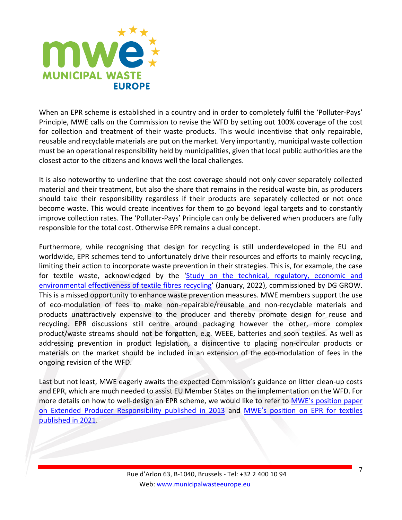

When an EPR scheme is established in a country and in order to completely fulfil the 'Polluter-Pays' Principle, MWE calls on the Commission to revise the WFD by setting out 100% coverage of the cost for collection and treatment of their waste products. This would incentivise that only repairable, reusable and recyclable materials are put on the market. Very importantly, municipal waste collection must be an operational responsibility held by municipalities, given that local public authorities are the closest actor to the citizens and knows well the local challenges.

It is also noteworthy to underline that the cost coverage should not only cover separately collected material and their treatment, but also the share that remains in the residual waste bin, as producers should take their responsibility regardless if their products are separately collected or not once become waste. This would create incentives for them to go beyond legal targets and to constantly improve collection rates. The 'Polluter-Pays' Principle can only be delivered when producers are fully responsible for the total cost. Otherwise EPR remains a dual concept.

Furthermore, while recognising that design for recycling is still underdeveloped in the EU and worldwide, EPR schemes tend to unfortunately drive their resources and efforts to mainly recycling, limiting their action to incorporate waste prevention in their strategies. This is, for example, the case for textile waste, acknowledged by the 'Study on the technical, regulatory, economic and environmental effectiveness of textile fibres recycling' (January, 2022), commissioned by DG GROW. This is a missed opportunity to enhance waste prevention measures. MWE members support the use of eco-modulation of fees to make non-repairable/reusable and non-recyclable materials and products unattractively expensive to the producer and thereby promote design for reuse and recycling. EPR discussions still centre around packaging however the other, more complex product/waste streams should not be forgotten, e.g. WEEE, batteries and soon textiles. As well as addressing prevention in product legislation, a disincentive to placing non-circular products or materials on the market should be included in an extension of the eco-modulation of fees in the ongoing revision of the WFD.

Last but not least, MWE eagerly awaits the expected Commission's guidance on litter clean-up costs and EPR, which are much needed to assist EU Member States on the implementation on the WFD. For more details on how to well-design an EPR scheme, we would like to refer to MWE's position paper on Extended Producer Responsibility published in 2013 and MWE's position on EPR for textiles published in 2021.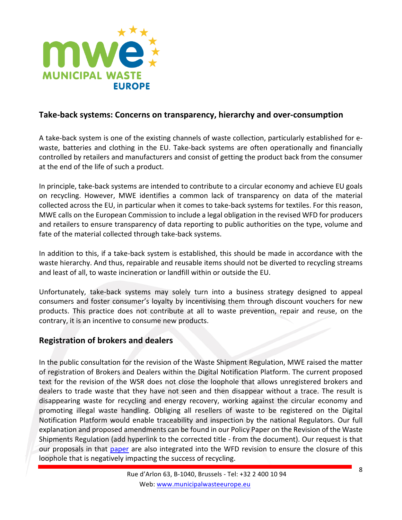

#### **Take-back systems: Concerns on transparency, hierarchy and over-consumption**

A take-back system is one of the existing channels of waste collection, particularly established for ewaste, batteries and clothing in the EU. Take-back systems are often operationally and financially controlled by retailers and manufacturers and consist of getting the product back from the consumer at the end of the life of such a product.

In principle, take-back systems are intended to contribute to a circular economy and achieve EU goals on recycling. However, MWE identifies a common lack of transparency on data of the material collected across the EU, in particular when it comes to take-back systems for textiles. For this reason, MWE calls on the European Commission to include a legal obligation in the revised WFD for producers and retailers to ensure transparency of data reporting to public authorities on the type, volume and fate of the material collected through take-back systems.

In addition to this, if a take-back system is established, this should be made in accordance with the waste hierarchy. And thus, repairable and reusable items should not be diverted to recycling streams and least of all, to waste incineration or landfill within or outside the EU.

Unfortunately, take-back systems may solely turn into a business strategy designed to appeal consumers and foster consumer's loyalty by incentivising them through discount vouchers for new products. This practice does not contribute at all to waste prevention, repair and reuse, on the contrary, it is an incentive to consume new products.

#### **Registration of brokers and dealers**

In the public consultation for the revision of the Waste Shipment Regulation, MWE raised the matter of registration of Brokers and Dealers within the Digital Notification Platform. The current proposed text for the revision of the WSR does not close the loophole that allows unregistered brokers and dealers to trade waste that they have not seen and then disappear without a trace. The result is disappearing waste for recycling and energy recovery, working against the circular economy and promoting illegal waste handling. Obliging all resellers of waste to be registered on the Digital Notification Platform would enable traceability and inspection by the national Regulators. Our full explanation and proposed amendments can be found in our Policy Paper on the Revision of the Waste Shipments Regulation (add hyperlink to the corrected title - from the document). Our request is that our proposals in that paper are also integrated into the WFD revision to ensure the closure of this loophole that is negatively impacting the success of recycling.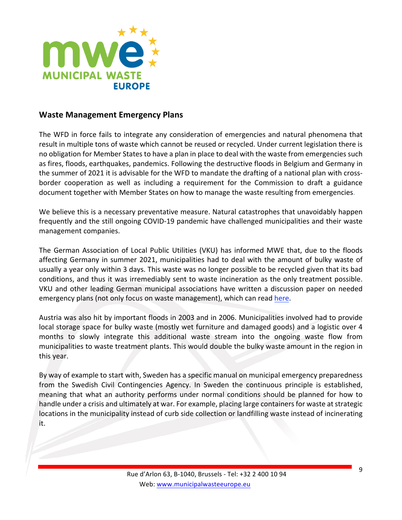

#### **Waste Management Emergency Plans**

The WFD in force fails to integrate any consideration of emergencies and natural phenomena that result in multiple tons of waste which cannot be reused or recycled. Under current legislation there is no obligation for Member States to have a plan in place to deal with the waste from emergencies such as fires, floods, earthquakes, pandemics. Following the destructive floods in Belgium and Germany in the summer of 2021 it is advisable for the WFD to mandate the drafting of a national plan with crossborder cooperation as well as including a requirement for the Commission to draft a guidance document together with Member States on how to manage the waste resulting from emergencies.

We believe this is a necessary preventative measure. Natural catastrophes that unavoidably happen frequently and the still ongoing COVID-19 pandemic have challenged municipalities and their waste management companies.

The German Association of Local Public Utilities (VKU) has informed MWE that, due to the floods affecting Germany in summer 2021, municipalities had to deal with the amount of bulky waste of usually a year only within 3 days. This waste was no longer possible to be recycled given that its bad conditions, and thus it was irremediably sent to waste incineration as the only treatment possible. VKU and other leading German municipal associations have written a discussion paper on needed emergency plans (not only focus on waste management), which can read here.

Austria was also hit by important floods in 2003 and in 2006. Municipalities involved had to provide local storage space for bulky waste (mostly wet furniture and damaged goods) and a logistic over 4 months to slowly integrate this additional waste stream into the ongoing waste flow from municipalities to waste treatment plants. This would double the bulky waste amount in the region in this year.

By way of example to start with, Sweden has a specific manual on municipal emergency preparedness from the Swedish Civil Contingencies Agency. In Sweden the continuous principle is established, meaning that what an authority performs under normal conditions should be planned for how to handle under a crisis and ultimately at war. For example, placing large containers for waste at strategic locations in the municipality instead of curb side collection or landfilling waste instead of incinerating it.